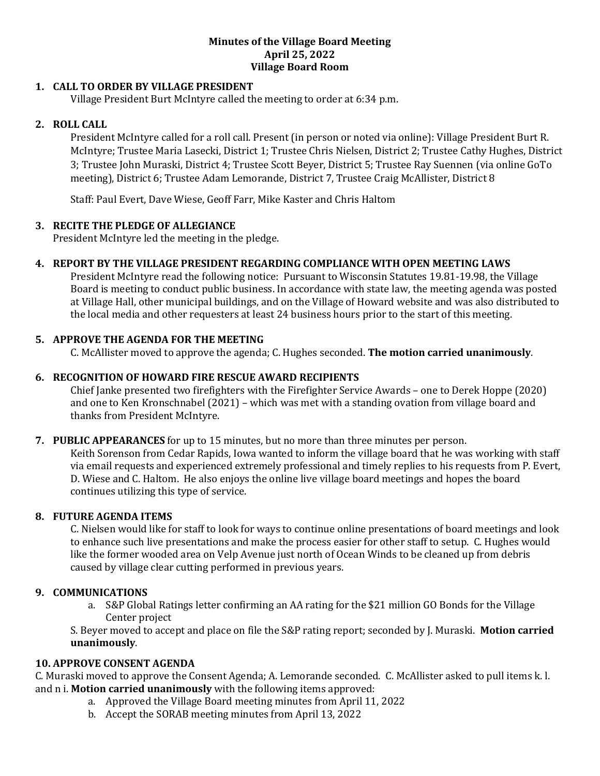#### **Minutes of the Village Board Meeting April 25, 2022 Village Board Room**

# **1. CALL TO ORDER BY VILLAGE PRESIDENT**

Village President Burt McIntyre called the meeting to order at 6:34 p.m.

## **2. ROLL CALL**

President McIntyre called for a roll call. Present (in person or noted via online): Village President Burt R. McIntyre; Trustee Maria Lasecki, District 1; Trustee Chris Nielsen, District 2; Trustee Cathy Hughes, District 3; Trustee John Muraski, District 4; Trustee Scott Beyer, District 5; Trustee Ray Suennen (via online GoTo meeting), District 6; Trustee Adam Lemorande, District 7, Trustee Craig McAllister, District 8

Staff: Paul Evert, Dave Wiese, Geoff Farr, Mike Kaster and Chris Haltom

## **3. RECITE THE PLEDGE OF ALLEGIANCE**

President McIntyre led the meeting in the pledge.

# **4. REPORT BY THE VILLAGE PRESIDENT REGARDING COMPLIANCE WITH OPEN MEETING LAWS**

President McIntyre read the following notice: Pursuant to Wisconsin Statutes 19.81-19.98, the Village Board is meeting to conduct public business. In accordance with state law, the meeting agenda was posted at Village Hall, other municipal buildings, and on the Village of Howard website and was also distributed to the local media and other requesters at least 24 business hours prior to the start of this meeting.

# **5. APPROVE THE AGENDA FOR THE MEETING**

C. McAllister moved to approve the agenda; C. Hughes seconded. **The motion carried unanimously**.

# **6. RECOGNITION OF HOWARD FIRE RESCUE AWARD RECIPIENTS**

Chief Janke presented two firefighters with the Firefighter Service Awards – one to Derek Hoppe (2020) and one to Ken Kronschnabel (2021) – which was met with a standing ovation from village board and thanks from President McIntyre.

#### **7. PUBLIC APPEARANCES** for up to 15 minutes, but no more than three minutes per person.

Keith Sorenson from Cedar Rapids, Iowa wanted to inform the village board that he was working with staff via email requests and experienced extremely professional and timely replies to his requests from P. Evert, D. Wiese and C. Haltom. He also enjoys the online live village board meetings and hopes the board continues utilizing this type of service.

## **8. FUTURE AGENDA ITEMS**

C. Nielsen would like for staff to look for ways to continue online presentations of board meetings and look to enhance such live presentations and make the process easier for other staff to setup. C. Hughes would like the former wooded area on Velp Avenue just north of Ocean Winds to be cleaned up from debris caused by village clear cutting performed in previous years.

## **9. COMMUNICATIONS**

a. S&P Global Ratings letter confirming an AA rating for the \$21 million GO Bonds for the Village Center project

S. Beyer moved to accept and place on file the S&P rating report; seconded by J. Muraski. **Motion carried unanimously**.

# **10. APPROVE CONSENT AGENDA**

C. Muraski moved to approve the Consent Agenda; A. Lemorande seconded. C. McAllister asked to pull items k. l. and n i. **Motion carried unanimously** with the following items approved:

- a. Approved the Village Board meeting minutes from April 11, 2022
- b. Accept the SORAB meeting minutes from April 13, 2022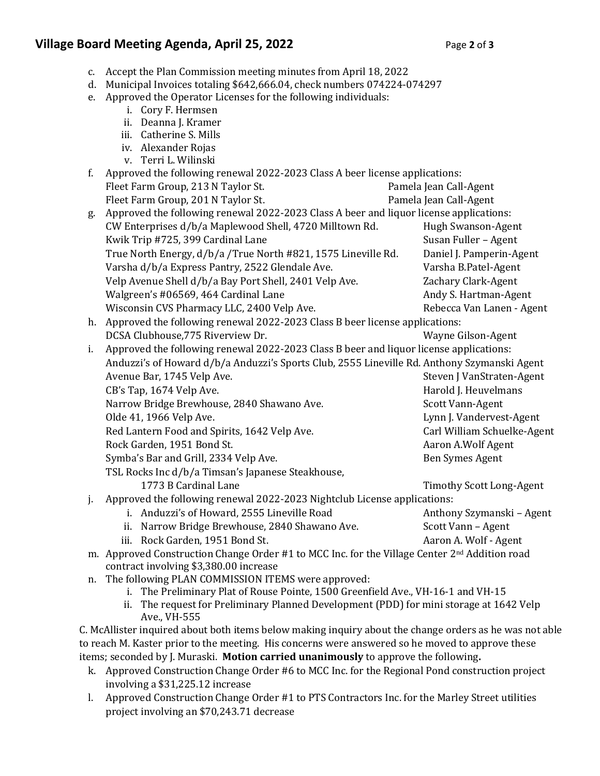# **Village Board Meeting Agenda, April 25, 2022** Page 2 of 3

- c. Accept the Plan Commission meeting minutes from April 18, 2022
- d. Municipal Invoices totaling \$642,666.04, check numbers 074224-074297
- e. Approved the Operator Licenses for the following individuals:
	- i. Cory F. Hermsen
	- ii. Deanna J. Kramer
	- iii. Catherine S. Mills
	- iv. Alexander Rojas
	- v. Terri L. Wilinski

| f.                                                                                           | Approved the following renewal 2022-2023 Class A beer license applications:                               |                                 |
|----------------------------------------------------------------------------------------------|-----------------------------------------------------------------------------------------------------------|---------------------------------|
|                                                                                              | Fleet Farm Group, 213 N Taylor St.                                                                        | Pamela Jean Call-Agent          |
|                                                                                              | Fleet Farm Group, 201 N Taylor St.                                                                        | Pamela Jean Call-Agent          |
| g.                                                                                           | Approved the following renewal 2022-2023 Class A beer and liquor license applications:                    |                                 |
|                                                                                              | CW Enterprises d/b/a Maplewood Shell, 4720 Milltown Rd.                                                   | Hugh Swanson-Agent              |
|                                                                                              | Kwik Trip #725, 399 Cardinal Lane                                                                         | Susan Fuller - Agent            |
|                                                                                              | True North Energy, d/b/a /True North #821, 1575 Lineville Rd.                                             | Daniel J. Pamperin-Agent        |
|                                                                                              | Varsha d/b/a Express Pantry, 2522 Glendale Ave.                                                           | Varsha B.Patel-Agent            |
|                                                                                              | Velp Avenue Shell d/b/a Bay Port Shell, 2401 Velp Ave.                                                    | Zachary Clark-Agent             |
|                                                                                              | Walgreen's #06569, 464 Cardinal Lane                                                                      | Andy S. Hartman-Agent           |
|                                                                                              | Wisconsin CVS Pharmacy LLC, 2400 Velp Ave.                                                                | Rebecca Van Lanen - Agent       |
| Approved the following renewal 2022-2023 Class B beer license applications:<br>h.            |                                                                                                           |                                 |
|                                                                                              | DCSA Clubhouse, 775 Riverview Dr.                                                                         | Wayne Gilson-Agent              |
| Approved the following renewal 2022-2023 Class B beer and liquor license applications:<br>i. |                                                                                                           |                                 |
|                                                                                              | Anduzzi's of Howard d/b/a Anduzzi's Sports Club, 2555 Lineville Rd. Anthony Szymanski Agent               |                                 |
|                                                                                              | Avenue Bar, 1745 Velp Ave.                                                                                | Steven J VanStraten-Agent       |
|                                                                                              | CB's Tap, 1674 Velp Ave.                                                                                  | Harold J. Heuvelmans            |
|                                                                                              | Narrow Bridge Brewhouse, 2840 Shawano Ave.                                                                | Scott Vann-Agent                |
|                                                                                              | Olde 41, 1966 Velp Ave.                                                                                   | Lynn J. Vandervest-Agent        |
|                                                                                              | Red Lantern Food and Spirits, 1642 Velp Ave.                                                              | Carl William Schuelke-Agent     |
|                                                                                              | Rock Garden, 1951 Bond St.                                                                                | Aaron A.Wolf Agent              |
|                                                                                              | Symba's Bar and Grill, 2334 Velp Ave.                                                                     | <b>Ben Symes Agent</b>          |
|                                                                                              | TSL Rocks Inc d/b/a Timsan's Japanese Steakhouse,                                                         |                                 |
|                                                                                              | 1773 B Cardinal Lane                                                                                      | <b>Timothy Scott Long-Agent</b> |
| j.                                                                                           | Approved the following renewal 2022-2023 Nightclub License applications:                                  |                                 |
|                                                                                              | i. Anduzzi's of Howard, 2555 Lineville Road                                                               | Anthony Szymanski - Agent       |
|                                                                                              | Narrow Bridge Brewhouse, 2840 Shawano Ave.<br>ii.                                                         | Scott Vann - Agent              |
|                                                                                              | iii. Rock Garden, 1951 Bond St.                                                                           | Aaron A. Wolf - Agent           |
|                                                                                              | m. Approved Construction Change Order #1 to MCC Inc. for the Village Center 2 <sup>nd</sup> Addition road |                                 |
|                                                                                              |                                                                                                           |                                 |

contract involving \$3,380.00 increase

- n. The following PLAN COMMISSION ITEMS were approved:
	- i. The Preliminary Plat of Rouse Pointe, 1500 Greenfield Ave., VH-16-1 and VH-15
	- ii. The request for Preliminary Planned Development (PDD) for mini storage at 1642 Velp Ave., VH-555

C. McAllister inquired about both items below making inquiry about the change orders as he was not able to reach M. Kaster prior to the meeting. His concerns were answered so he moved to approve these items; seconded by J. Muraski. **Motion carried unanimously** to approve the following**.**

- k. Approved Construction Change Order #6 to MCC Inc. for the Regional Pond construction project involving a \$31,225.12 increase
- l. Approved Construction Change Order #1 to PTS Contractors Inc. for the Marley Street utilities project involving an \$70,243.71 decrease